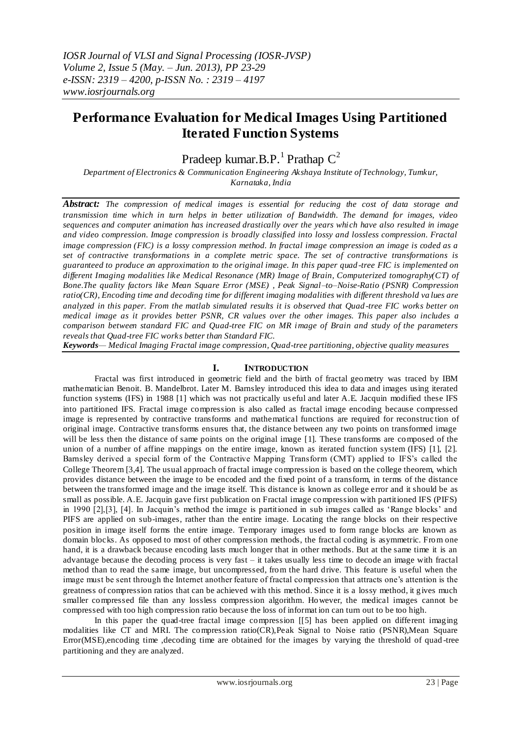# **Performance Evaluation for Medical Images Using Partitioned Iterated Function Systems**

Pradeep kumar.B.P.<sup>1</sup> Prathap  $C^2$ 

*Department of Electronics & Communication Engineering Akshaya Institute of Technology, Tumkur, Karnataka, India*

*Abstract: The compression of medical images is essential for reducing the cost of data storage and transmission time which in turn helps in better utilization of Bandwidth. The demand for images, video sequences and computer animation has increased drastically over the years whi ch have also resulted in image and video compression. Image compression is broadly classified into lossy and lossless compression. Fractal image compression (FIC) is a lossy compression method. In fractal image compression an image is coded as a set of contractive transformations in a complete metric space. The set of contractive transformations is guaranteed to produce an approximation to the original image. In this paper quad -tree FIC is implemented on different Imaging modalities like Medical Resonance (MR) Image of Brain, Computerized tomography(CT) of Bone.The quality factors like Mean Square Error (MSE) , Peak Signal–to–Noise-Ratio (PSNR) Compression ratio(CR), Encoding time and decoding time for different imaging modalities with different threshold va lues are analyzed in this paper. From the matlab simulated results it is observed that Quad -tree FIC works better on medical image as it provides better PSNR, CR values over the other images. This paper also includes a comparison between standard FIC and Quad-tree FIC on MR image of Brain and study of the parameters reveals that Quad-tree FIC works better than Standard FIC.*

*Keywords— Medical Imaging Fractal image compression, Quad-tree partitioning, objective quality measures*

# **I. INTRODUCTION**

Fractal was first introduced in geometric field and the birth of fractal geometry was traced by IBM mathematician Benoit. B. Mandelbrot. Later M. Barnsley introduced this idea to data and images using iterated function systems (IFS) in 1988 [1] which was not practically us eful and later A.E. Jacquin modified these IFS into partitioned IFS. Fractal image compression is also called as fractal image encoding because compressed image is represented by contractive transforms and mathematical functions are required for reconstruc tion of original image. Contractive transforms ensures that, the distance between any two points on transformed image will be less then the distance of same points on the original image [1]. These transforms are composed of the union of a number of affine mappings on the entire image, known as iterated function system (IFS) [1], [2]. Barnsley derived a special form of the Contractive Mapping Transform (CMT) applied to IFS"s called the College Theorem [3,4]. The usual approach of fractal image compression is based on the college theorem, which provides distance between the image to be encoded and the fixed point of a transform, in terms of the distance between the transformed image and the image itself. This distance is known as college error and it should be as small as possible. A.E. Jacquin gave first publication on Fractal image compression with partitioned IFS (PIFS) in 1990 [2], [3], [4]. In Jacquin's method the image is partitioned in sub images called as 'Range blocks' and PIFS are applied on sub-images, rather than the entire image. Locating the range blocks on their respective position in image itself forms the entire image. Temporary images used to form range blocks are known as domain blocks. As opposed to most of other compression methods, the fractal coding is asymmetric. From one hand, it is a drawback because encoding lasts much longer that in other methods. But at the same time it is an advantage because the decoding process is very fast – it takes usually less time to decode an image with fractal method than to read the same image, but uncompressed, from the hard drive. This feature is useful when the image must be sent through the Internet another feature of fractal compression that attracts one"s attention is the greatness of compression ratios that can be achieved with this method. Since it is a lossy method, it gives much smaller compressed file than any lossless compression algorithm. However, the medical images cannot be compressed with too high compression ratio because the loss of informat ion can turn out to be too high.

In this paper the quad-tree fractal image compression [[5] has been applied on different imaging modalities like CT and MRI. The compression ratio(CR),Peak Signal to Noise ratio (PSNR),Mean Square Error(MSE),encoding time ,decoding time are obtained for the images by varying the threshold of quad -tree partitioning and they are analyzed.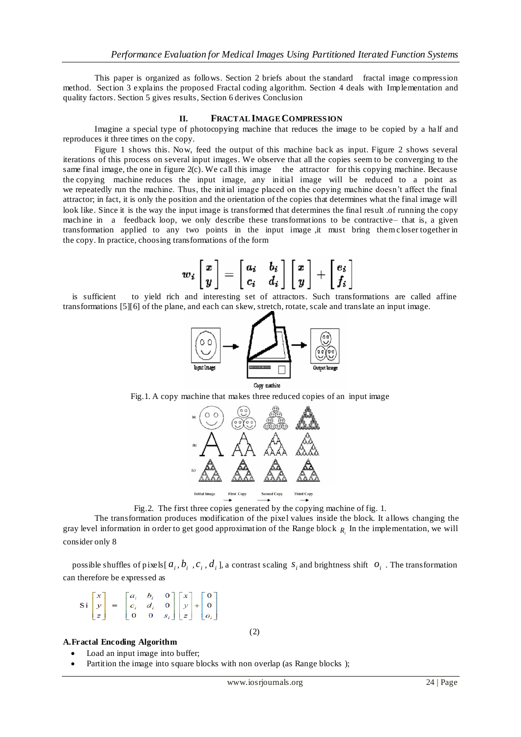This paper is organized as follows. Section 2 briefs about the standard fractal image compression method. Section 3 explains the proposed Fractal coding algorithm. Section 4 deals with Implementation and quality factors. Section 5 gives results, Section 6 derives Conclusion

## **II. FRACTAL IMAGE COMPRESSION**

Imagine a special type of photocopying machine that reduces the image to be copied by a half and reproduces it three times on the copy.

Figure 1 shows this. Now, feed the output of this machine back as input. Figure 2 shows several iterations of this process on several input images. We observe that all the copies seem to be converging to the same final image, the one in figure  $2(c)$ . We call this image the attractor for this copying machine. Because the copying machine reduces the input image, any initial image will be reduced to a point as we repeatedly run the machine. Thus, the initial image placed on the copying machine doesn"t affect the final attractor; in fact, it is only the position and the orientation of the copies that determines what the final image will look like. Since it is the way the input image is transformed that determines the final result .of running the copy machine in a feedback loop, we only describe these transformations to be contractive– that is, a given transformation applied to any two points in the input image ,it must bring them closer together in the copy. In practice, choosing transformations of the form

$$
w_i \begin{bmatrix} x \\ y \end{bmatrix} = \begin{bmatrix} a_i & b_i \\ c_i & d_i \end{bmatrix} \begin{bmatrix} x \\ y \end{bmatrix} + \begin{bmatrix} e_i \\ f_i \end{bmatrix}
$$

is sufficient to yield rich and interesting set of attractors. Such transformations are called affine transformations [5][6] of the plane, and each can skew, stretch, rotate, scale and translate an input image.



Fig.1. A copy machine that makes three reduced copies of an input image



Fig.2. The first three copies generated by the copying machine of fig. 1.

The transformation produces modification of the pixel values inside the block. It allows changing the gray level information in order to get good approximation of the Range block *Ri* In the implementation, we will consider only 8

possible shuffles of pixels  $[a_i, b_i, c_i, d_i]$ , a contrast scaling  $s_i$  and brightness shift  $o_i$ . The transformation can therefore be expressed as

(2)

$$
\text{Si}\begin{bmatrix} x \\ y \\ z \end{bmatrix} = \begin{bmatrix} a_i & b_i & 0 \\ c_i & d_i & 0 \\ 0 & 0 & s_i \end{bmatrix} \begin{bmatrix} x \\ y \\ z \end{bmatrix} + \begin{bmatrix} 0 \\ 0 \\ o_i \end{bmatrix}
$$

#### **A.Fractal Encoding Algorithm**

- Load an input image into buffer;
- Partition the image into square blocks with non overlap (as Range blocks);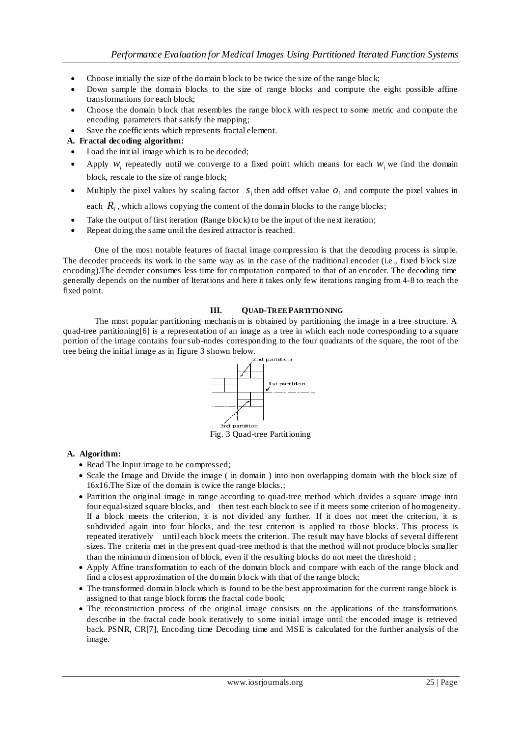- Choose initially the size of the domain block to be twice the size of the range block;
- Down sample the domain blocks to the size of range blocks and compute the eight possible affine transformations for each block;
- Choose the domain block that resembles the range block with respect to some metric and compute the encoding parameters that satisfy the mapping;
- Save the coefficients which represents fractal element.

# **A. Fractal decoding algorithm:**

- Load the initial image which is to be decoded;
- Apply  $w_i$  repeatedly until we converge to a fixed point which means for each  $w_i$  we find the domain block, rescale to the size of range block;
- Multiply the pixel values by scaling factor  $s_i$  then add offset value  $o_i$  and compute the pixel values in
- each  $R$ <sub>*i*</sub> , which allows copying the content of the domain blocks to the range blocks;
- Take the output of first iteration (Range block) to be the input of the next iteration; Repeat doing the same until the desired attractor is reached.

One of the most notable features of fractal image compression is that the decoding process is simple. The decoder proceeds its work in the same way as in the case of the traditional encoder (i.e., fixed block size encoding).The decoder consumes less time for computation compared to that of an encoder. The decoding time generally depends on the number of Iterations and here it takes only few iterations ranging from 4-8 to reach the fixed point.

## **III. QUAD-TREE PARTITIO NING**

The most popular partitioning mechanis m is obtained by partitioning the image in a tree structure. A quad-tree partitioning [6] is a representation of an image as a tree in which each node corresponding to a square portion of the image contains four sub-nodes corresponding to the four quadrants of the square, the root of the tree being the initial image as in figure 3 shown below.



Fig. 3 Quad-tree Partitioning

## **A. Algorithm:**

- Read The Input image to be compressed;
- Scale the Image and Divide the image (in domain) into non overlapping domain with the block size of 16x16.The Size of the domain is twice the range blocks.;
- Partition the original image in range according to quad-tree method which divides a square image into four equal-sized square blocks, and then test each block to see if it meets some criterion of homogeneity. If a block meets the criterion, it is not divided any further. If it does not meet the criterion, it is subdivided again into four blocks, and the test criterion is applied to those blocks. This process is repeated iteratively until each block meets the criterion. The result may have blocks of several different sizes. The criteria met in the present quad-tree method is that the method will not produce blocks smaller than the minimum dimension of block, even if the resulting blocks do not meet the threshold ;
- Apply Affine transformation to each of the domain block and compare with each of the range block and find a closest approximation of the domain block with that of the range block;
- The transformed domain block which is found to be the best approximation for the current range block is assigned to that range block forms the fractal code book;
- The reconstruction process of the original image consists on the applications of the transformations describe in the fractal code book iteratively to some initial image until the encoded image is retrieved back. PSNR, CR[7], Encoding time Decoding time and MSE is calculated for the further analysis of the image.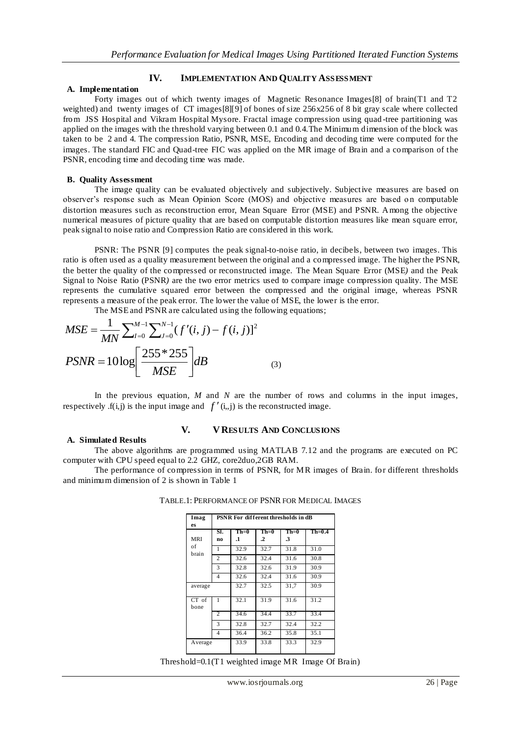# **IV. IMPLEMENTATION AND QUALITY ASSESSMENT**

#### **A. Implementation**

Forty images out of which twenty images of Magnetic Resonance Images[8] of brain(T1 and T2 weighted) and twenty images of CT images[8][9] of bones of size 256x256 of 8 bit gray scale where collected from JSS Hospital and Vikram Hospital Mysore. Fractal image compression using quad -tree partitioning was applied on the images with the threshold varying between 0.1 and 0.4.The Minimum dimension of the block was taken to be 2 and 4. The compression Ratio, PSNR, MSE, Encoding and decoding time were computed for the images. The standard FIC and Quad-tree FIC was applied on the MR image of Brain and a comparison of the PSNR, encoding time and decoding time was made.

#### **B. Quality Assessment**

The image quality can be evaluated objectively and subjectively. Subjective measures are based on observer's response such as Mean Opinion Score (MOS) and objective measures are based on computable distortion measures such as reconstruction error, Mean Square Error (MSE) and PSNR. Among the objective numerical measures of picture quality that are based on computable distortion measures like mean square error, peak signal to noise ratio and Compression Ratio are considered in this work.

PSNR: The PSNR [9] computes the peak signal-to-noise ratio, in decibels, between two images. This ratio is often used as a quality measurement between the original and a compressed image. The higher the PSNR, the better the quality of the compressed or reconstructed image. The Mean Square Error (MSE*)* and the Peak Signal to Noise Ratio (PSNR*)* are the two error metrics used to compare image compression quality. The MSE represents the cumulative squared error between the compressed and the original image, whereas PSNR represents a measure of the peak error. The lower the value of MSE, the lower is the error.

The MSE and PSNR are calculated using the following equations;

$$
MSE = \frac{1}{MN} \sum_{I=0}^{M-1} \sum_{J=0}^{N-1} (f'(i, j) - f(i, j))^{2}
$$
  
\n
$$
PSNR = 10 \log \left[ \frac{255 * 255}{MSE} \right] dB
$$
 (3)

In the previous equation, *M* and *N* are the number of rows and columns in the input images, respectively  $f(i,j)$  is the input image and  $f'(i,j)$  is the reconstructed image.

# **V. V RESULTS AND CONCLUSIONS**

**A. Simulated Results** The above algorithms are programmed using MATLAB 7.12 and the programs are executed on PC computer with CPU speed equal to 2.2 GHZ, core2duo,2GB RAM.

The performance of compression in terms of PSNR, for MR images of Brain. for different thresholds and minimum dimension of 2 is shown in Table 1

| Imag<br>es      | PSNR For different thresholds in dB |              |                   |                            |          |
|-----------------|-------------------------------------|--------------|-------------------|----------------------------|----------|
| <b>MRI</b>      | SI.<br>no                           | $Th=0$<br>.1 | $Th=0$<br>$\cdot$ | $Th=0$<br>$\boldsymbol{3}$ | $Th=0.4$ |
| of<br>brain     | 1                                   | 32.9         | 32.7              | 31.8                       | 31.0     |
|                 | 2                                   | 32.6         | 32.4              | 31.6                       | 30.8     |
|                 | 3                                   | 32.8         | 32.6              | 31.9                       | 30.9     |
|                 | 4                                   | 32.6         | 32.4              | 31.6                       | 30.9     |
| average         |                                     | 32.7         | 32.5              | 31,7                       | 30.9     |
| $CT$ of<br>bone | 1                                   | 32.1         | 31.9              | 31.6                       | 31.2     |
|                 | $\overline{c}$                      | 34.6         | 34.4              | 33.7                       | 33.4     |
|                 | 3                                   | 32.8         | 32.7              | 32.4                       | 32.2     |
|                 | 4                                   | 36.4         | 36.2              | 35.8                       | 35.1     |
| Average         |                                     | 33.9         | 33.8              | 33.3                       | 32.9     |

TABLE.1: PERFORMANCE OF PSNR FOR MEDICAL IMAGES

Threshold=0.1(T1 weighted image MR Image Of Brain)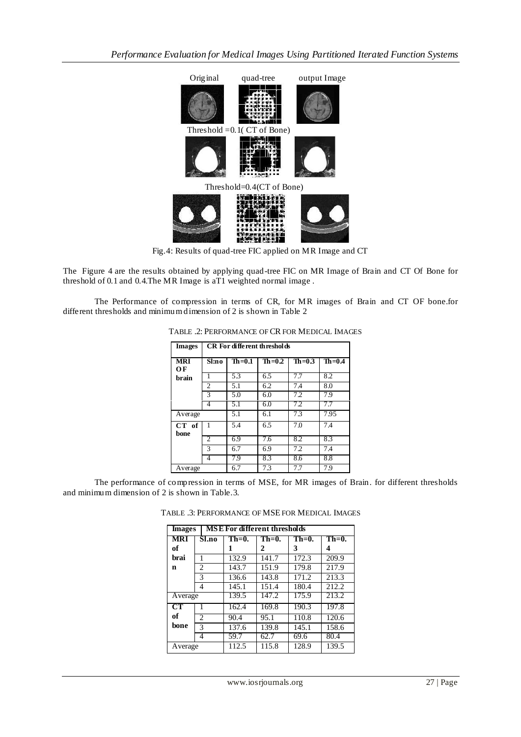

Fig.4: Results of quad-tree FIC applied on MR Image and CT

The Figure 4 are the results obtained by applying quad-tree FIC on MR Image of Brain and CT Of Bone for threshold of 0.1 and 0.4.The MR Image is aT1 weighted normal image .

The Performance of compression in terms of CR, for MR images of Brain and CT OF bone.for different thresholds and minimum dimension of 2 is shown in Table 2

| <b>Images</b>    | CR For different thresholds |            |          |            |            |
|------------------|-----------------------------|------------|----------|------------|------------|
| <b>MRI</b><br>OF | Sl:no                       | $Th = 0.1$ | $Th=0.2$ | $Th = 0.3$ | $Th = 0.4$ |
| brain            |                             | 5.3        | 6.5      | 7.7        | 8.2        |
|                  | $\overline{c}$              | 5.1        | 6.2      | 7.4        | 8.0        |
|                  | 3                           | 5.0        | 6.0      | 7.2        | 7.9        |
|                  | 4                           | 5.1        | 6.0      | 7.2        | $\sqrt{ }$ |
| Average          |                             | 5.1        | 6.1      | 7.3        | 7.95       |
| CT of<br>bone    | 1                           | 5.4        | 6.5      | 7.0        | 7.4        |
|                  | 2                           | 6.9        | 7.6      | 8.2        | 8.3        |
|                  | 3                           | 6.7        | 6.9      | 7.2        | 7.4        |
|                  | 4                           | 7.9        | 8.3      | 8.6        | 8.8        |
| Average          |                             | 6.7        | 7.3      | 7.7        | 7.9        |

| TABLE .2: PERFORMANCE OF CR FOR MEDICAL IMAGES |  |
|------------------------------------------------|--|
|------------------------------------------------|--|

The performance of compression in terms of MSE, for MR images of Brain. for different thresholds and minimum dimension of 2 is shown in Table.3.

| <b>Images</b> |        | <b>MSE For different thresholds</b> |          |          |          |                           |
|---------------|--------|-------------------------------------|----------|----------|----------|---------------------------|
| <b>MRI</b>    |        | Sl.no                               | $Th=0$ . | $Th=0$ . | $Th=0$ . | $\overline{\text{Th}}=0.$ |
| of            |        |                                     |          | 2        | 3        | 4                         |
| brai          | 1<br>2 |                                     | 132.9    | 141.7    | 172.3    | 209.9                     |
| n             |        |                                     | 143.7    | 151.9    | 179.8    | 217.9                     |
|               |        | 3                                   | 136.6    | 143.8    | 171.2    | 213.3                     |
|               |        | 4                                   | 145.1    | 151.4    | 180.4    | 212.2                     |
| Average       |        | 139.5                               | 147.2    | 175.9    | 213.2    |                           |
| CT            |        |                                     | 162.4    | 169.8    | 190.3    | 197.8                     |
| of            |        | $\mathfrak{D}$                      | 90.4     | 95.1     | 110.8    | 120.6                     |
| bone          |        | 3                                   | 137.6    | 139.8    | 145.1    | 158.6                     |
|               |        | 4                                   | 59.7     | 62.7     | 69.6     | 80.4                      |
| Average       |        | 112.5                               | 115.8    | 128.9    | 139.5    |                           |

TABLE .3: PERFORMANCE OF MSE FOR MEDICAL IMAGES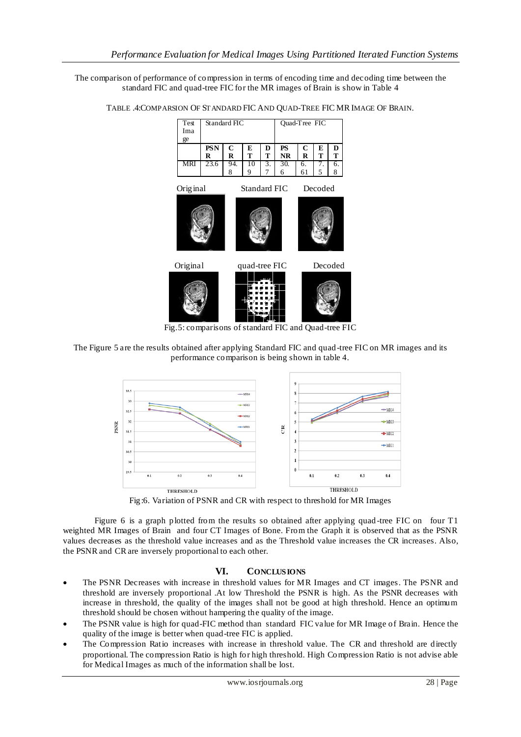The comparison of performance of compression in terms of encoding time and decoding time between the standard FIC and quad-tree FIC for the MR images of Brain is show in Table 4



TABLE .4:COMPARSION OF STANDARD FIC AND QUAD-TREE FIC MR IMAGE OF BRAIN.

Fig.5: comparisons of standard FIC and Quad-tree FIC





Fig:6. Variation of PSNR and CR with respect to threshold for MR Images

Figure 6 is a graph plotted from the results so obtained after applying quad -tree FIC on four T1 weighted MR Images of Brain and four CT Images of Bone. From the Graph it is observed that as the PSNR values decreases as the threshold value increases and as the Threshold value increases the CR increases. Also, the PSNR and CR are inversely proportional to each other.

# **VI. CONCLUSIONS**

- The PSNR Decreases with increase in threshold values for MR Images and CT images. The PSNR and threshold are inversely proportional .At low Threshold the PSNR is high. As the PSNR decreases with increase in threshold, the quality of the images shall not be good at high threshold. Hence an optimum threshold should be chosen without hampering the quality of the image.
- The PSNR value is high for quad-FIC method than standard FIC value for MR Image of Brain. Hence the quality of the image is better when quad-tree FIC is applied.
- The Compression Ratio increases with increase in threshold value. The CR and threshold are directly proportional. The compression Ratio is high for high threshold. High Compression Ratio is not advise able for Medical Images as much of the information shall be lost.